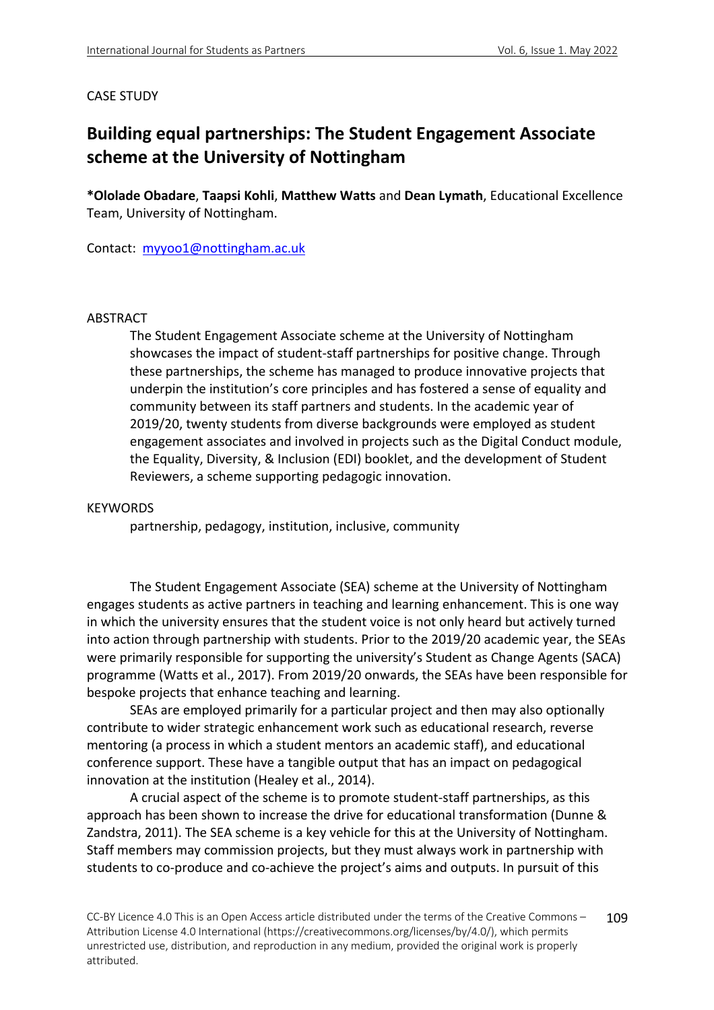### CASE STUDY

# **Building equal partnerships: The Student Engagement Associate scheme at the University of Nottingham**

**\*Ololade Obadare**, **Taapsi Kohli**, **Matthew Watts** and **Dean Lymath**, Educational Excellence Team, University of Nottingham.

Contact: myyoo1@nottingham.ac.uk

#### ABSTRACT

The Student Engagement Associate scheme at the University of Nottingham showcases the impact of student-staff partnerships for positive change. Through these partnerships, the scheme has managed to produce innovative projects that underpin the institution's core principles and has fostered a sense of equality and community between its staff partners and students. In the academic year of 2019/20, twenty students from diverse backgrounds were employed as student engagement associates and involved in projects such as the Digital Conduct module, the Equality, Diversity, & Inclusion (EDI) booklet, and the development of Student Reviewers, a scheme supporting pedagogic innovation.

#### **KEYWORDS**

partnership, pedagogy, institution, inclusive, community

The Student Engagement Associate (SEA) scheme at the University of Nottingham engages students as active partners in teaching and learning enhancement. This is one way in which the university ensures that the student voice is not only heard but actively turned into action through partnership with students. Prior to the 2019/20 academic year, the SEAs were primarily responsible for supporting the university's Student as Change Agents (SACA) programme (Watts et al., 2017). From 2019/20 onwards, the SEAs have been responsible for bespoke projects that enhance teaching and learning.

SEAs are employed primarily for a particular project and then may also optionally contribute to wider strategic enhancement work such as educational research, reverse mentoring (a process in which a student mentors an academic staff), and educational conference support. These have a tangible output that has an impact on pedagogical innovation at the institution (Healey et al., 2014).

A crucial aspect of the scheme is to promote student-staff partnerships, as this approach has been shown to increase the drive for educational transformation (Dunne & Zandstra, 2011). The SEA scheme is a key vehicle for this at the University of Nottingham. Staff members may commission projects, but they must always work in partnership with students to co-produce and co-achieve the project's aims and outputs. In pursuit of this

CC-BY Licence 4.0 This is an Open Access article distributed under the terms of the Creative Commons – Attribution License 4.0 International (https://creativecommons.org/licenses/by/4.0/), which permits unrestricted use, distribution, and reproduction in any medium, provided the original work is properly attributed. 109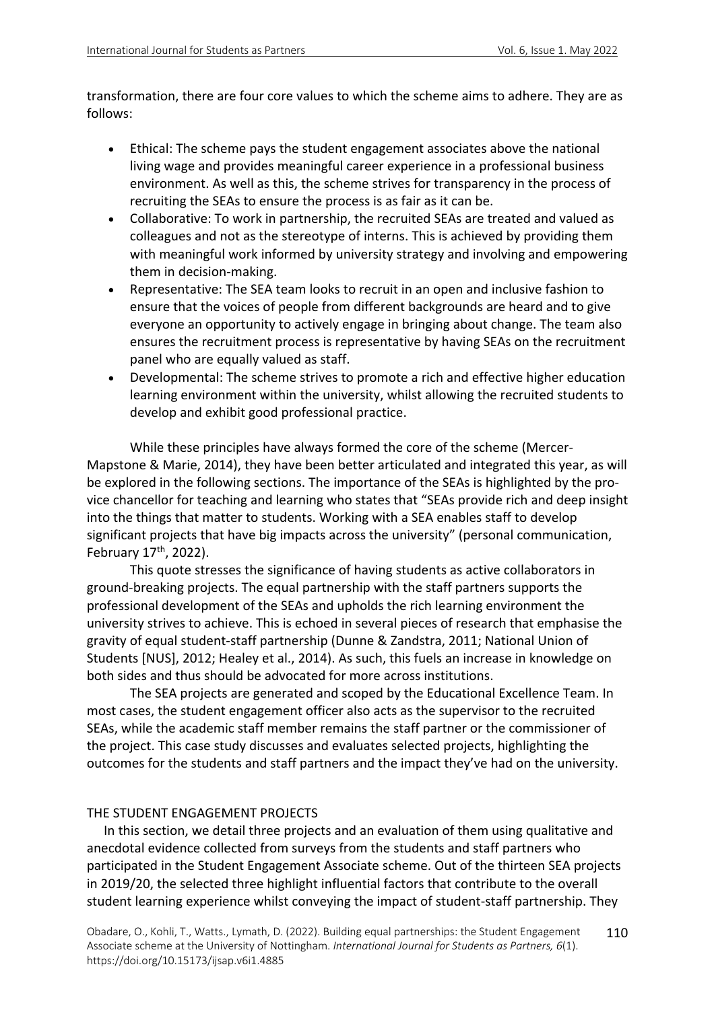transformation, there are four core values to which the scheme aims to adhere. They are as follows:

- Ethical: The scheme pays the student engagement associates above the national living wage and provides meaningful career experience in a professional business environment. As well as this, the scheme strives for transparency in the process of recruiting the SEAs to ensure the process is as fair as it can be.
- Collaborative: To work in partnership, the recruited SEAs are treated and valued as colleagues and not as the stereotype of interns. This is achieved by providing them with meaningful work informed by university strategy and involving and empowering them in decision-making.
- Representative: The SEA team looks to recruit in an open and inclusive fashion to ensure that the voices of people from different backgrounds are heard and to give everyone an opportunity to actively engage in bringing about change. The team also ensures the recruitment process is representative by having SEAs on the recruitment panel who are equally valued as staff.
- Developmental: The scheme strives to promote a rich and effective higher education learning environment within the university, whilst allowing the recruited students to develop and exhibit good professional practice.

While these principles have always formed the core of the scheme (Mercer-Mapstone & Marie, 2014), they have been better articulated and integrated this year, as will be explored in the following sections. The importance of the SEAs is highlighted by the provice chancellor for teaching and learning who states that "SEAs provide rich and deep insight into the things that matter to students. Working with a SEA enables staff to develop significant projects that have big impacts across the university" (personal communication, February 17<sup>th</sup>, 2022).

This quote stresses the significance of having students as active collaborators in ground-breaking projects. The equal partnership with the staff partners supports the professional development of the SEAs and upholds the rich learning environment the university strives to achieve. This is echoed in several pieces of research that emphasise the gravity of equal student-staff partnership (Dunne & Zandstra, 2011; National Union of Students [NUS], 2012; Healey et al., 2014). As such, this fuels an increase in knowledge on both sides and thus should be advocated for more across institutions.

The SEA projects are generated and scoped by the Educational Excellence Team. In most cases, the student engagement officer also acts as the supervisor to the recruited SEAs, while the academic staff member remains the staff partner or the commissioner of the project. This case study discusses and evaluates selected projects, highlighting the outcomes for the students and staff partners and the impact they've had on the university.

### THE STUDENT ENGAGEMENT PROJECTS

In this section, we detail three projects and an evaluation of them using qualitative and anecdotal evidence collected from surveys from the students and staff partners who participated in the Student Engagement Associate scheme. Out of the thirteen SEA projects in 2019/20, the selected three highlight influential factors that contribute to the overall student learning experience whilst conveying the impact of student-staff partnership. They

Obadare, O., Kohli, T., Watts., Lymath, D. (2022). Building equal partnerships: the Student Engagement Associate scheme at the University of Nottingham. *International Journal for Students as Partners, 6*(1). https://doi.org/10.15173/ijsap.v6i1.4885 110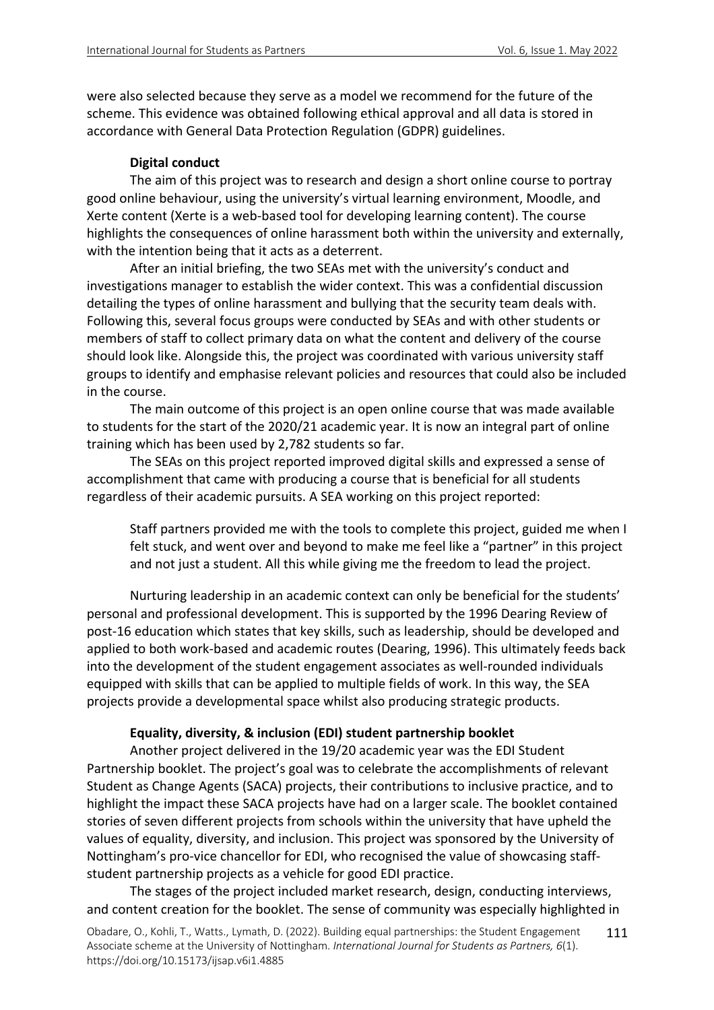were also selected because they serve as a model we recommend for the future of the scheme. This evidence was obtained following ethical approval and all data is stored in accordance with General Data Protection Regulation (GDPR) guidelines.

# **Digital conduct**

The aim of this project was to research and design a short online course to portray good online behaviour, using the university's virtual learning environment, Moodle, and Xerte content (Xerte is a web-based tool for developing learning content). The course highlights the consequences of online harassment both within the university and externally, with the intention being that it acts as a deterrent.

After an initial briefing, the two SEAs met with the university's conduct and investigations manager to establish the wider context. This was a confidential discussion detailing the types of online harassment and bullying that the security team deals with. Following this, several focus groups were conducted by SEAs and with other students or members of staff to collect primary data on what the content and delivery of the course should look like. Alongside this, the project was coordinated with various university staff groups to identify and emphasise relevant policies and resources that could also be included in the course.

The main outcome of this project is an open online course that was made available to students for the start of the 2020/21 academic year. It is now an integral part of online training which has been used by 2,782 students so far.

The SEAs on this project reported improved digital skills and expressed a sense of accomplishment that came with producing a course that is beneficial for all students regardless of their academic pursuits. A SEA working on this project reported:

Staff partners provided me with the tools to complete this project, guided me when I felt stuck, and went over and beyond to make me feel like a "partner" in this project and not just a student. All this while giving me the freedom to lead the project.

Nurturing leadership in an academic context can only be beneficial for the students' personal and professional development. This is supported by the 1996 Dearing Review of post-16 education which states that key skills, such as leadership, should be developed and applied to both work-based and academic routes (Dearing, 1996). This ultimately feeds back into the development of the student engagement associates as well-rounded individuals equipped with skills that can be applied to multiple fields of work. In this way, the SEA projects provide a developmental space whilst also producing strategic products.

### **Equality, diversity, & inclusion (EDI) student partnership booklet**

Another project delivered in the 19/20 academic year was the EDI Student Partnership booklet. The project's goal was to celebrate the accomplishments of relevant Student as Change Agents (SACA) projects, their contributions to inclusive practice, and to highlight the impact these SACA projects have had on a larger scale. The booklet contained stories of seven different projects from schools within the university that have upheld the values of equality, diversity, and inclusion. This project was sponsored by the University of Nottingham's pro-vice chancellor for EDI, who recognised the value of showcasing staffstudent partnership projects as a vehicle for good EDI practice.

The stages of the project included market research, design, conducting interviews, and content creation for the booklet. The sense of community was especially highlighted in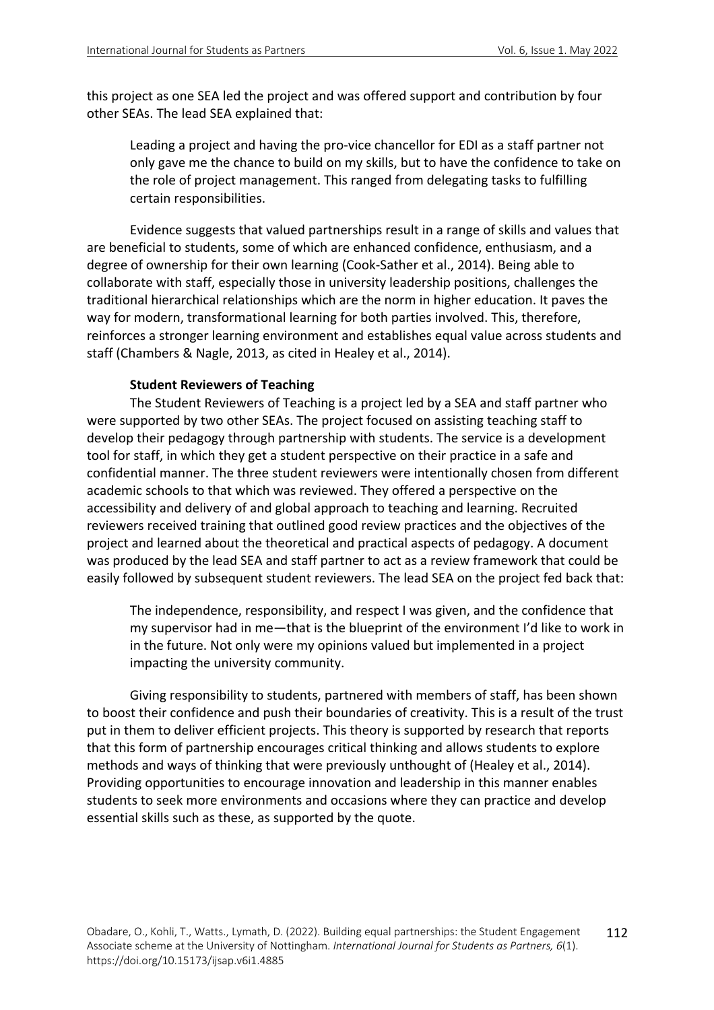this project as one SEA led the project and was offered support and contribution by four other SEAs. The lead SEA explained that:

Leading a project and having the pro-vice chancellor for EDI as a staff partner not only gave me the chance to build on my skills, but to have the confidence to take on the role of project management. This ranged from delegating tasks to fulfilling certain responsibilities.

Evidence suggests that valued partnerships result in a range of skills and values that are beneficial to students, some of which are enhanced confidence, enthusiasm, and a degree of ownership for their own learning (Cook-Sather et al., 2014). Being able to collaborate with staff, especially those in university leadership positions, challenges the traditional hierarchical relationships which are the norm in higher education. It paves the way for modern, transformational learning for both parties involved. This, therefore, reinforces a stronger learning environment and establishes equal value across students and staff (Chambers & Nagle, 2013, as cited in Healey et al., 2014).

#### **Student Reviewers of Teaching**

The Student Reviewers of Teaching is a project led by a SEA and staff partner who were supported by two other SEAs. The project focused on assisting teaching staff to develop their pedagogy through partnership with students. The service is a development tool for staff, in which they get a student perspective on their practice in a safe and confidential manner. The three student reviewers were intentionally chosen from different academic schools to that which was reviewed. They offered a perspective on the accessibility and delivery of and global approach to teaching and learning. Recruited reviewers received training that outlined good review practices and the objectives of the project and learned about the theoretical and practical aspects of pedagogy. A document was produced by the lead SEA and staff partner to act as a review framework that could be easily followed by subsequent student reviewers. The lead SEA on the project fed back that:

The independence, responsibility, and respect I was given, and the confidence that my supervisor had in me—that is the blueprint of the environment I'd like to work in in the future. Not only were my opinions valued but implemented in a project impacting the university community.

Giving responsibility to students, partnered with members of staff, has been shown to boost their confidence and push their boundaries of creativity. This is a result of the trust put in them to deliver efficient projects. This theory is supported by research that reports that this form of partnership encourages critical thinking and allows students to explore methods and ways of thinking that were previously unthought of (Healey et al., 2014). Providing opportunities to encourage innovation and leadership in this manner enables students to seek more environments and occasions where they can practice and develop essential skills such as these, as supported by the quote.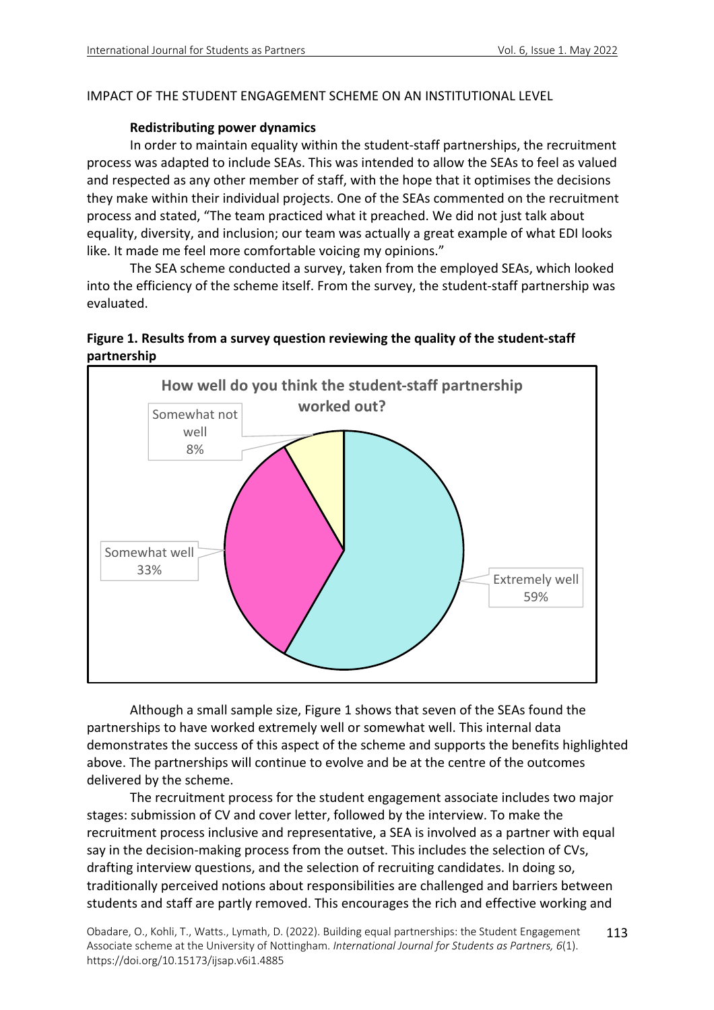# IMPACT OF THE STUDENT ENGAGEMENT SCHEME ON AN INSTITUTIONAL LEVEL

### **Redistributing power dynamics**

In order to maintain equality within the student-staff partnerships, the recruitment process was adapted to include SEAs. This was intended to allow the SEAs to feel as valued and respected as any other member of staff, with the hope that it optimises the decisions they make within their individual projects. One of the SEAs commented on the recruitment process and stated, "The team practiced what it preached. We did not just talk about equality, diversity, and inclusion; our team was actually a great example of what EDI looks like. It made me feel more comfortable voicing my opinions."

The SEA scheme conducted a survey, taken from the employed SEAs, which looked into the efficiency of the scheme itself. From the survey, the student-staff partnership was evaluated.

# **Figure 1. Results from a survey question reviewing the quality of the student-staff partnership**



Although a small sample size, Figure 1 shows that seven of the SEAs found the partnerships to have worked extremely well or somewhat well. This internal data demonstrates the success of this aspect of the scheme and supports the benefits highlighted above. The partnerships will continue to evolve and be at the centre of the outcomes delivered by the scheme.

The recruitment process for the student engagement associate includes two major stages: submission of CV and cover letter, followed by the interview. To make the recruitment process inclusive and representative, a SEA is involved as a partner with equal say in the decision-making process from the outset. This includes the selection of CVs, drafting interview questions, and the selection of recruiting candidates. In doing so, traditionally perceived notions about responsibilities are challenged and barriers between students and staff are partly removed. This encourages the rich and effective working and

Obadare, O., Kohli, T., Watts., Lymath, D. (2022). Building equal partnerships: the Student Engagement Associate scheme at the University of Nottingham. *International Journal for Students as Partners, 6*(1). https://doi.org/10.15173/ijsap.v6i1.4885 113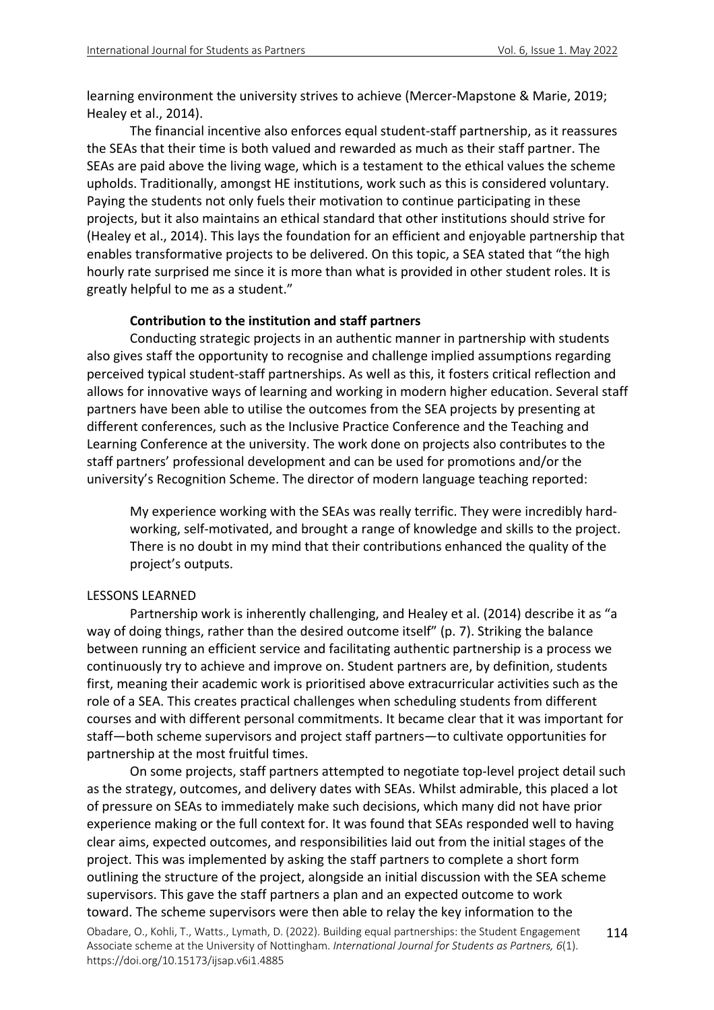learning environment the university strives to achieve (Mercer-Mapstone & Marie, 2019; Healey et al., 2014).

The financial incentive also enforces equal student-staff partnership, as it reassures the SEAs that their time is both valued and rewarded as much as their staff partner. The SEAs are paid above the living wage, which is a testament to the ethical values the scheme upholds. Traditionally, amongst HE institutions, work such as this is considered voluntary. Paying the students not only fuels their motivation to continue participating in these projects, but it also maintains an ethical standard that other institutions should strive for (Healey et al., 2014). This lays the foundation for an efficient and enjoyable partnership that enables transformative projects to be delivered. On this topic, a SEA stated that "the high hourly rate surprised me since it is more than what is provided in other student roles. It is greatly helpful to me as a student."

#### **Contribution to the institution and staff partners**

Conducting strategic projects in an authentic manner in partnership with students also gives staff the opportunity to recognise and challenge implied assumptions regarding perceived typical student-staff partnerships. As well as this, it fosters critical reflection and allows for innovative ways of learning and working in modern higher education. Several staff partners have been able to utilise the outcomes from the SEA projects by presenting at different conferences, such as the Inclusive Practice Conference and the Teaching and Learning Conference at the university. The work done on projects also contributes to the staff partners' professional development and can be used for promotions and/or the university's Recognition Scheme. The director of modern language teaching reported:

My experience working with the SEAs was really terrific. They were incredibly hardworking, self-motivated, and brought a range of knowledge and skills to the project. There is no doubt in my mind that their contributions enhanced the quality of the project's outputs.

#### LESSONS LEARNED

Partnership work is inherently challenging, and Healey et al. (2014) describe it as "a way of doing things, rather than the desired outcome itself" (p. 7). Striking the balance between running an efficient service and facilitating authentic partnership is a process we continuously try to achieve and improve on. Student partners are, by definition, students first, meaning their academic work is prioritised above extracurricular activities such as the role of a SEA. This creates practical challenges when scheduling students from different courses and with different personal commitments. It became clear that it was important for staff—both scheme supervisors and project staff partners—to cultivate opportunities for partnership at the most fruitful times.

Obadare, O., Kohli, T., Watts., Lymath, D. (2022). Building equal partnerships: the Student Engagement Associate scheme at the University of Nottingham. *International Journal for Students as Partners, 6*(1). https://doi.org/10.15173/ijsap.v6i1.4885 114 On some projects, staff partners attempted to negotiate top-level project detail such as the strategy, outcomes, and delivery dates with SEAs. Whilst admirable, this placed a lot of pressure on SEAs to immediately make such decisions, which many did not have prior experience making or the full context for. It was found that SEAs responded well to having clear aims, expected outcomes, and responsibilities laid out from the initial stages of the project. This was implemented by asking the staff partners to complete a short form outlining the structure of the project, alongside an initial discussion with the SEA scheme supervisors. This gave the staff partners a plan and an expected outcome to work toward. The scheme supervisors were then able to relay the key information to the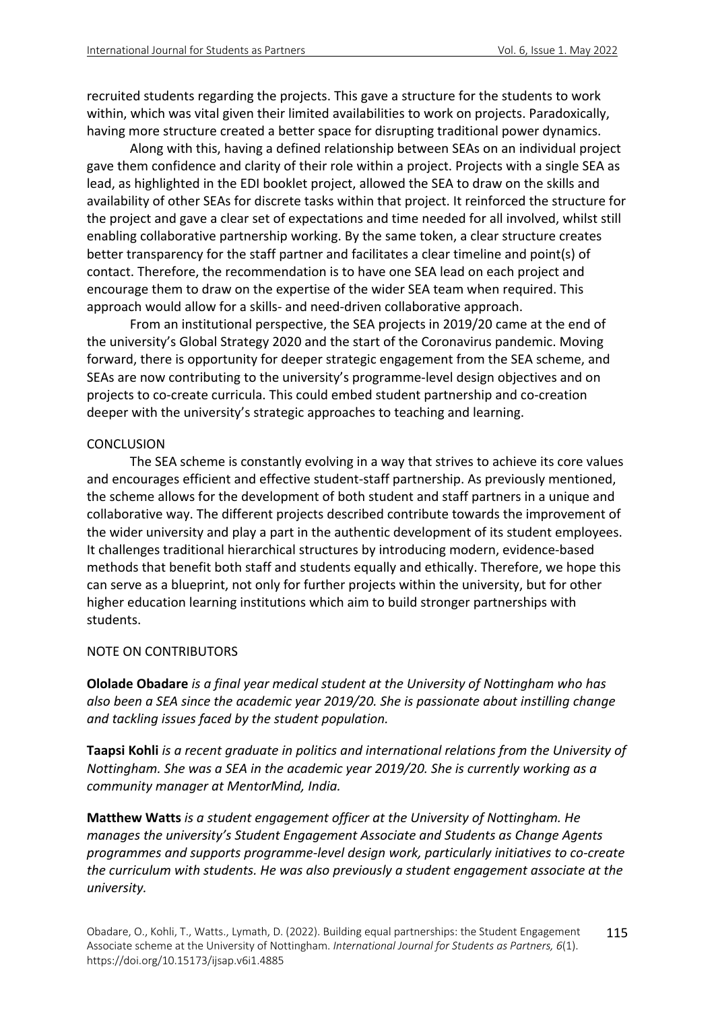recruited students regarding the projects. This gave a structure for the students to work within, which was vital given their limited availabilities to work on projects. Paradoxically, having more structure created a better space for disrupting traditional power dynamics.

Along with this, having a defined relationship between SEAs on an individual project gave them confidence and clarity of their role within a project. Projects with a single SEA as lead, as highlighted in the EDI booklet project, allowed the SEA to draw on the skills and availability of other SEAs for discrete tasks within that project. It reinforced the structure for the project and gave a clear set of expectations and time needed for all involved, whilst still enabling collaborative partnership working. By the same token, a clear structure creates better transparency for the staff partner and facilitates a clear timeline and point(s) of contact. Therefore, the recommendation is to have one SEA lead on each project and encourage them to draw on the expertise of the wider SEA team when required. This approach would allow for a skills- and need-driven collaborative approach.

From an institutional perspective, the SEA projects in 2019/20 came at the end of the university's Global Strategy 2020 and the start of the Coronavirus pandemic. Moving forward, there is opportunity for deeper strategic engagement from the SEA scheme, and SEAs are now contributing to the university's programme-level design objectives and on projects to co-create curricula. This could embed student partnership and co-creation deeper with the university's strategic approaches to teaching and learning.

### **CONCLUSION**

The SEA scheme is constantly evolving in a way that strives to achieve its core values and encourages efficient and effective student-staff partnership. As previously mentioned, the scheme allows for the development of both student and staff partners in a unique and collaborative way. The different projects described contribute towards the improvement of the wider university and play a part in the authentic development of its student employees. It challenges traditional hierarchical structures by introducing modern, evidence-based methods that benefit both staff and students equally and ethically. Therefore, we hope this can serve as a blueprint, not only for further projects within the university, but for other higher education learning institutions which aim to build stronger partnerships with students.

### NOTE ON CONTRIBUTORS

**Ololade Obadare** *is a final year medical student at the University of Nottingham who has also been a SEA since the academic year 2019/20. She is passionate about instilling change and tackling issues faced by the student population.* 

**Taapsi Kohli** *is a recent graduate in politics and international relations from the University of Nottingham. She was a SEA in the academic year 2019/20. She is currently working as a community manager at MentorMind, India.*

**Matthew Watts** *is a student engagement officer at the University of Nottingham. He manages the university's Student Engagement Associate and Students as Change Agents programmes and supports programme-level design work, particularly initiatives to co-create the curriculum with students. He was also previously a student engagement associate at the university.*